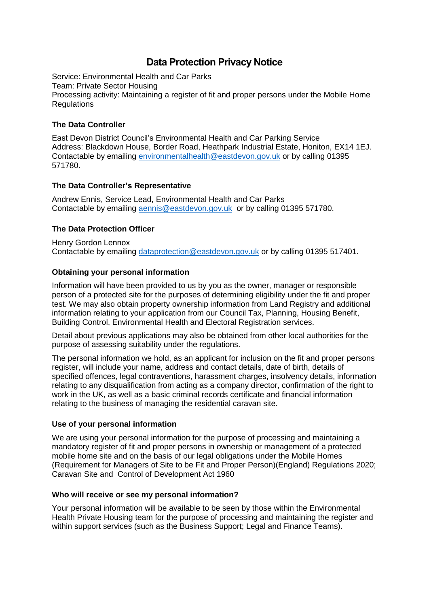# **Data Protection Privacy Notice**

Service: Environmental Health and Car Parks Team: Private Sector Housing Processing activity: Maintaining a register of fit and proper persons under the Mobile Home Regulations

# **The Data Controller**

East Devon District Council's Environmental Health and Car Parking Service Address: Blackdown House, Border Road, Heathpark Industrial Estate, Honiton, EX14 1EJ. Contactable by emailing [environmentalhealth@eastdevon.gov.uk](mailto:environmentalhealth@eastdevon.gov.uk) or by calling 01395 571780.

# **The Data Controller's Representative**

Andrew Ennis, Service Lead, Environmental Health and Car Parks Contactable by emailing [aennis@eastdevon.gov.uk](mailto:aennis@eastdevon.gov.uk) or by calling 01395 571780.

# **The Data Protection Officer**

Henry Gordon Lennox Contactable by emailing [dataprotection@eastdevon.gov.uk](mailto:dataprotection@eastdevon.gov.uk) or by calling 01395 517401.

# **Obtaining your personal information**

Information will have been provided to us by you as the owner, manager or responsible person of a protected site for the purposes of determining eligibility under the fit and proper test. We may also obtain property ownership information from Land Registry and additional information relating to your application from our Council Tax, Planning, Housing Benefit, Building Control, Environmental Health and Electoral Registration services.

Detail about previous applications may also be obtained from other local authorities for the purpose of assessing suitability under the regulations.

The personal information we hold, as an applicant for inclusion on the fit and proper persons register, will include your name, address and contact details, date of birth, details of specified offences, legal contraventions, harassment charges, insolvency details, information relating to any disqualification from acting as a company director, confirmation of the right to work in the UK, as well as a basic criminal records certificate and financial information relating to the business of managing the residential caravan site.

## **Use of your personal information**

We are using your personal information for the purpose of processing and maintaining a mandatory register of fit and proper persons in ownership or management of a protected mobile home site and on the basis of our legal obligations under the Mobile Homes (Requirement for Managers of Site to be Fit and Proper Person)(England) Regulations 2020; Caravan Site and Control of Development Act 1960

## **Who will receive or see my personal information?**

Your personal information will be available to be seen by those within the Environmental Health Private Housing team for the purpose of processing and maintaining the register and within support services (such as the Business Support; Legal and Finance Teams).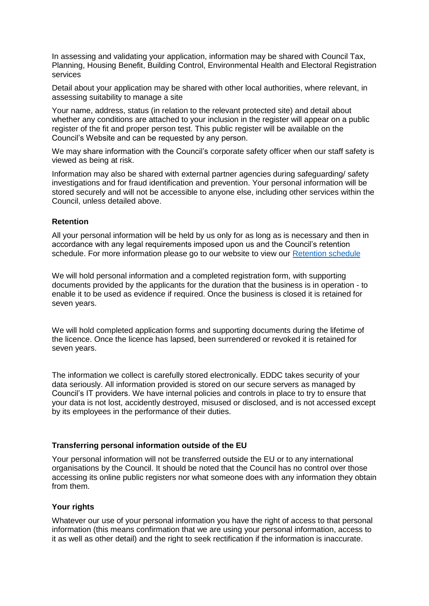In assessing and validating your application, information may be shared with Council Tax, Planning, Housing Benefit, Building Control, Environmental Health and Electoral Registration services

Detail about your application may be shared with other local authorities, where relevant, in assessing suitability to manage a site

Your name, address, status (in relation to the relevant protected site) and detail about whether any conditions are attached to your inclusion in the register will appear on a public register of the fit and proper person test. This public register will be available on the Council's Website and can be requested by any person.

We may share information with the Council's corporate safety officer when our staff safety is viewed as being at risk.

Information may also be shared with external partner agencies during safeguarding/ safety investigations and for fraud identification and prevention. Your personal information will be stored securely and will not be accessible to anyone else, including other services within the Council, unless detailed above.

## **Retention**

All your personal information will be held by us only for as long as is necessary and then in accordance with any legal requirements imposed upon us and the Council's retention schedule. For more information please go to our website to view our [Retention schedule](http://eastdevon.gov.uk/access-to-information/data-protection/document-retention-schedules/)

We will hold personal information and a completed registration form, with supporting documents provided by the applicants for the duration that the business is in operation - to enable it to be used as evidence if required. Once the business is closed it is retained for seven years.

We will hold completed application forms and supporting documents during the lifetime of the licence. Once the licence has lapsed, been surrendered or revoked it is retained for seven years.

The information we collect is carefully stored electronically. EDDC takes security of your data seriously. All information provided is stored on our secure servers as managed by Council's IT providers. We have internal policies and controls in place to try to ensure that your data is not lost, accidently destroyed, misused or disclosed, and is not accessed except by its employees in the performance of their duties.

### **Transferring personal information outside of the EU**

Your personal information will not be transferred outside the EU or to any international organisations by the Council. It should be noted that the Council has no control over those accessing its online public registers nor what someone does with any information they obtain from them.

### **Your rights**

Whatever our use of your personal information you have the right of access to that personal information (this means confirmation that we are using your personal information, access to it as well as other detail) and the right to seek rectification if the information is inaccurate.